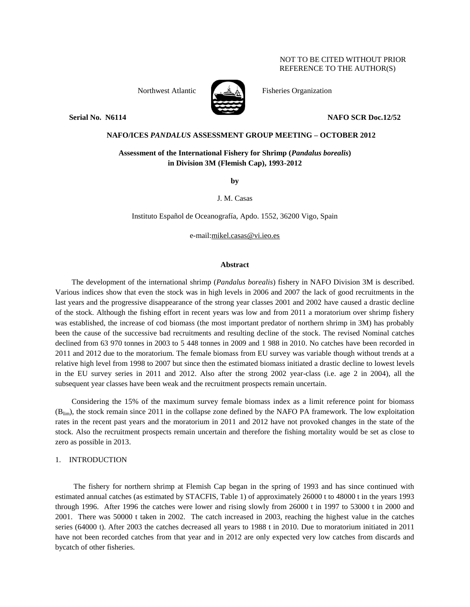## NOT TO BE CITED WITHOUT PRIOR REFERENCE TO THE AUTHOR(S)



Northwest Atlantic Fisheries Organization

**Serial No. N6114 NAFO SCR Doc.12/52** 

## **NAFO/ICES** *PANDALUS* **ASSESSMENT GROUP MEETING – OCTOBER 2012**

# **Assessment of the International Fishery for Shrimp (***Pandalus borealis***) in Division 3M (Flemish Cap), 1993-2012**

**by**

J. M. Casas

Instituto Español de Oceanografía, Apdo. 1552, 36200 Vigo, Spain

e-mail:mikel.casas@vi.ieo.es

### **Abstract**

The development of the international shrimp (*Pandalus borealis*) fishery in NAFO Division 3M is described. Various indices show that even the stock was in high levels in 2006 and 2007 the lack of good recruitments in the last years and the progressive disappearance of the strong year classes 2001 and 2002 have caused a drastic decline of the stock. Although the fishing effort in recent years was low and from 2011 a moratorium over shrimp fishery was established, the increase of cod biomass (the most important predator of northern shrimp in 3M) has probably been the cause of the successive bad recruitments and resulting decline of the stock. The revised Nominal catches declined from 63 970 tonnes in 2003 to 5 448 tonnes in 2009 and 1 988 in 2010. No catches have been recorded in 2011 and 2012 due to the moratorium. The female biomass from EU survey was variable though without trends at a relative high level from 1998 to 2007 but since then the estimated biomass initiated a drastic decline to lowest levels in the EU survey series in 2011 and 2012. Also after the strong 2002 year-class (i.e. age 2 in 2004), all the subsequent year classes have been weak and the recruitment prospects remain uncertain.

Considering the 15% of the maximum survey female biomass index as a limit reference point for biomass (Blim), the stock remain since 2011 in the collapse zone defined by the NAFO PA framework. The low exploitation rates in the recent past years and the moratorium in 2011 and 2012 have not provoked changes in the state of the stock. Also the recruitment prospects remain uncertain and therefore the fishing mortality would be set as close to zero as possible in 2013.

## 1. INTRODUCTION

The fishery for northern shrimp at Flemish Cap began in the spring of 1993 and has since continued with estimated annual catches (as estimated by STACFIS, Table 1) of approximately 26000 t to 48000 t in the years 1993 through 1996. After 1996 the catches were lower and rising slowly from 26000 t in 1997 to 53000 t in 2000 and 2001. There was 50000 t taken in 2002. The catch increased in 2003, reaching the highest value in the catches series (64000 t). After 2003 the catches decreased all years to 1988 t in 2010. Due to moratorium initiated in 2011 have not been recorded catches from that year and in 2012 are only expected very low catches from discards and bycatch of other fisheries.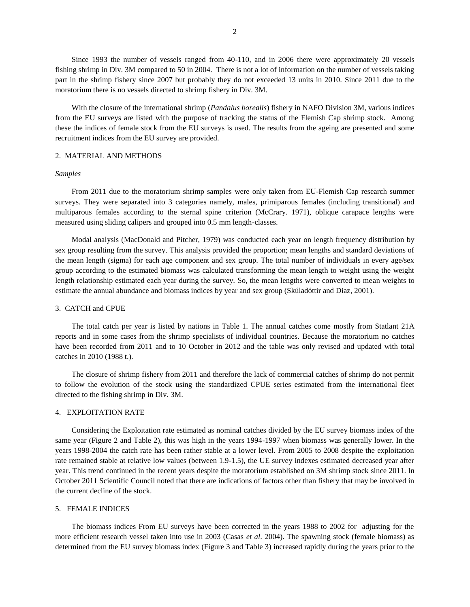Since 1993 the number of vessels ranged from 40-110, and in 2006 there were approximately 20 vessels fishing shrimp in Div. 3M compared to 50 in 2004. There is not a lot of information on the number of vessels taking part in the shrimp fishery since 2007 but probably they do not exceeded 13 units in 2010. Since 2011 due to the moratorium there is no vessels directed to shrimp fishery in Div. 3M.

With the closure of the international shrimp (*Pandalus borealis*) fishery in NAFO Division 3M, various indices from the EU surveys are listed with the purpose of tracking the status of the Flemish Cap shrimp stock. Among these the indices of female stock from the EU surveys is used. The results from the ageing are presented and some recruitment indices from the EU survey are provided.

## 2. MATERIAL AND METHODS

### *Samples*

From 2011 due to the moratorium shrimp samples were only taken from EU-Flemish Cap research summer surveys. They were separated into 3 categories namely, males, primiparous females (including transitional) and multiparous females according to the sternal spine criterion (McCrary. 1971), oblique carapace lengths were measured using sliding calipers and grouped into 0.5 mm length-classes.

Modal analysis (MacDonald and Pitcher, 1979) was conducted each year on length frequency distribution by sex group resulting from the survey. This analysis provided the proportion; mean lengths and standard deviations of the mean length (sigma) for each age component and sex group. The total number of individuals in every age/sex group according to the estimated biomass was calculated transforming the mean length to weight using the weight length relationship estimated each year during the survey. So, the mean lengths were converted to mean weights to estimate the annual abundance and biomass indices by year and sex group (Skúladóttir and Diaz, 2001).

## 3. CATCH and CPUE

The total catch per year is listed by nations in Table 1. The annual catches come mostly from Statlant 21A reports and in some cases from the shrimp specialists of individual countries. Because the moratorium no catches have been recorded from 2011 and to 10 October in 2012 and the table was only revised and updated with total catches in 2010 (1988 t.).

The closure of shrimp fishery from 2011 and therefore the lack of commercial catches of shrimp do not permit to follow the evolution of the stock using the standardized CPUE series estimated from the international fleet directed to the fishing shrimp in Div. 3M.

#### 4. EXPLOITATION RATE

Considering the Exploitation rate estimated as nominal catches divided by the EU survey biomass index of the same year (Figure 2 and Table 2), this was high in the years 1994-1997 when biomass was generally lower. In the years 1998-2004 the catch rate has been rather stable at a lower level. From 2005 to 2008 despite the exploitation rate remained stable at relative low values (between 1.9-1.5), the UE survey indexes estimated decreased year after year. This trend continued in the recent years despite the moratorium established on 3M shrimp stock since 2011. In October 2011 Scientific Council noted that there are indications of factors other than fishery that may be involved in the current decline of the stock.

#### 5. FEMALE INDICES

The biomass indices From EU surveys have been corrected in the years 1988 to 2002 for adjusting for the more efficient research vessel taken into use in 2003 (Casas *et al*. 2004). The spawning stock (female biomass) as determined from the EU survey biomass index (Figure 3 and Table 3) increased rapidly during the years prior to the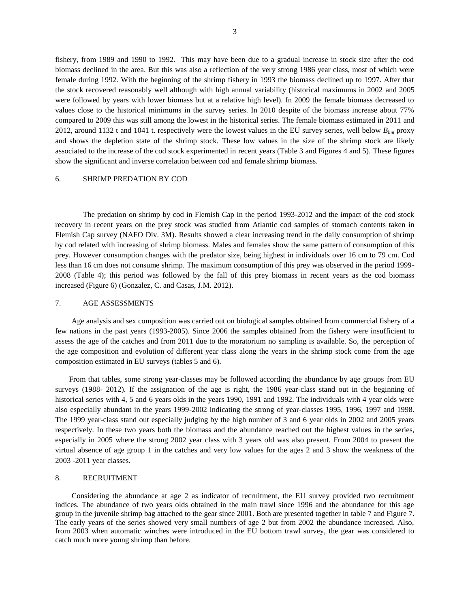fishery, from 1989 and 1990 to 1992. This may have been due to a gradual increase in stock size after the cod biomass declined in the area. But this was also a reflection of the very strong 1986 year class, most of which were female during 1992. With the beginning of the shrimp fishery in 1993 the biomass declined up to 1997. After that the stock recovered reasonably well although with high annual variability (historical maximums in 2002 and 2005 were followed by years with lower biomass but at a relative high level). In 2009 the female biomass decreased to values close to the historical minimums in the survey series. In 2010 despite of the biomass increase about 77% compared to 2009 this was still among the lowest in the historical series. The female biomass estimated in 2011 and 2012, around 1132 t and 1041 t. respectively were the lowest values in the EU survey series, well below *Blim* proxy and shows the depletion state of the shrimp stock. These low values in the size of the shrimp stock are likely associated to the increase of the cod stock experimented in recent years (Table 3 and Figures 4 and 5). These figures show the significant and inverse correlation between cod and female shrimp biomass.

### 6. SHRIMP PREDATION BY COD

The predation on shrimp by cod in Flemish Cap in the period 1993-2012 and the impact of the cod stock recovery in recent years on the prey stock was studied from Atlantic cod samples of stomach contents taken in Flemish Cap survey (NAFO Div. 3M). Results showed a clear increasing trend in the daily consumption of shrimp by cod related with increasing of shrimp biomass. Males and females show the same pattern of consumption of this prey. However consumption changes with the predator size, being highest in individuals over 16 cm to 79 cm. Cod less than 16 cm does not consume shrimp. The maximum consumption of this prey was observed in the period 1999- 2008 (Table 4); this period was followed by the fall of this prey biomass in recent years as the cod biomass increased (Figure 6) (Gonzalez, C. and Casas, J.M. 2012).

## 7. AGE ASSESSMENTS

Age analysis and sex composition was carried out on biological samples obtained from commercial fishery of a few nations in the past years (1993-2005). Since 2006 the samples obtained from the fishery were insufficient to assess the age of the catches and from 2011 due to the moratorium no sampling is available. So, the perception of the age composition and evolution of different year class along the years in the shrimp stock come from the age composition estimated in EU surveys (tables 5 and 6).

From that tables, some strong year-classes may be followed according the abundance by age groups from EU surveys (1988- 2012). If the assignation of the age is right, the 1986 year-class stand out in the beginning of historical series with 4, 5 and 6 years olds in the years 1990, 1991 and 1992. The individuals with 4 year olds were also especially abundant in the years 1999-2002 indicating the strong of year-classes 1995, 1996, 1997 and 1998. The 1999 year-class stand out especially judging by the high number of 3 and 6 year olds in 2002 and 2005 years respectively. In these two years both the biomass and the abundance reached out the highest values in the series, especially in 2005 where the strong 2002 year class with 3 years old was also present. From 2004 to present the virtual absence of age group 1 in the catches and very low values for the ages 2 and 3 show the weakness of the 2003 -2011 year classes.

#### 8. RECRUITMENT

Considering the abundance at age 2 as indicator of recruitment, the EU survey provided two recruitment indices. The abundance of two years olds obtained in the main trawl since 1996 and the abundance for this age group in the juvenile shrimp bag attached to the gear since 2001. Both are presented together in table 7 and Figure 7. The early years of the series showed very small numbers of age 2 but from 2002 the abundance increased. Also, from 2003 when automatic winches were introduced in the EU bottom trawl survey, the gear was considered to catch much more young shrimp than before.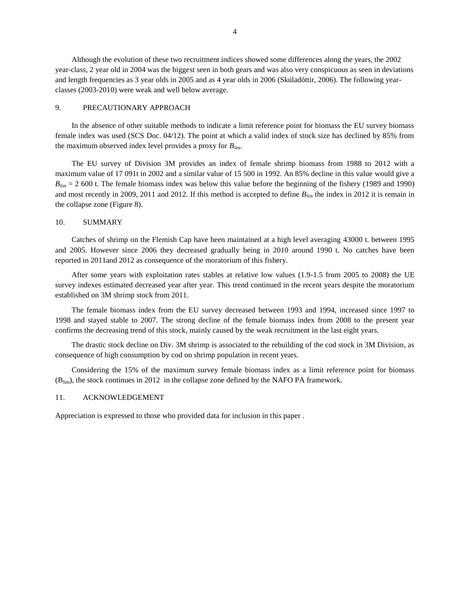Although the evolution of these two recruitment indices showed some differences along the years, the 2002 year-class, 2 year old in 2004 was the biggest seen in both gears and was also very conspicuous as seen in deviations and length frequencies as 3 year olds in 2005 and as 4 year olds in 2006 (Skúladóttir, 2006). The following yearclasses (2003-2010) were weak and well below average.

### 9. PRECAUTIONARY APPROACH

In the absence of other suitable methods to indicate a limit reference point for biomass the EU survey biomass female index was used (SCS Doc. 04/12). The point at which a valid index of stock size has declined by 85% from the maximum observed index level provides a proxy for *Blim*.

The EU survey of Division 3M provides an index of female shrimp biomass from 1988 to 2012 with a maximum value of 17 091t in 2002 and a similar value of 15 500 in 1992. An 85% decline in this value would give a  $B_{lim}$  = 2 600 t. The female biomass index was below this value before the beginning of the fishery (1989 and 1990) and most recently in 2009, 2011 and 2012. If this method is accepted to define *Blim* the index in 2012 it is remain in the collapse zone (Figure 8).

### 10. SUMMARY

Catches of shrimp on the Flemish Cap have been maintained at a high level averaging 43000 t. between 1995 and 2005. However since 2006 they decreased gradually being in 2010 around 1990 t. No catches have been reported in 2011and 2012 as consequence of the moratorium of this fishery.

After some years with exploitation rates stables at relative low values (1.9-1.5 from 2005 to 2008) the UE survey indexes estimated decreased year after year. This trend continued in the recent years despite the moratorium established on 3M shrimp stock from 2011.

The female biomass index from the EU survey decreased between 1993 and 1994, increased since 1997 to 1998 and stayed stable to 2007. The strong decline of the female biomass index from 2008 to the present year confirms the decreasing trend of this stock, mainly caused by the weak recruitment in the last eight years.

The drastic stock decline on Div. 3M shrimp is associated to the rebuilding of the cod stock in 3M Division, as consequence of high consumption by cod on shrimp population in recent years.

Considering the 15% of the maximum survey female biomass index as a limit reference point for biomass (Blim), the stock continues in 2012 in the collapse zone defined by the NAFO PA framework.

### 11. ACKNOWLEDGEMENT

Appreciation is expressed to those who provided data for inclusion in this paper .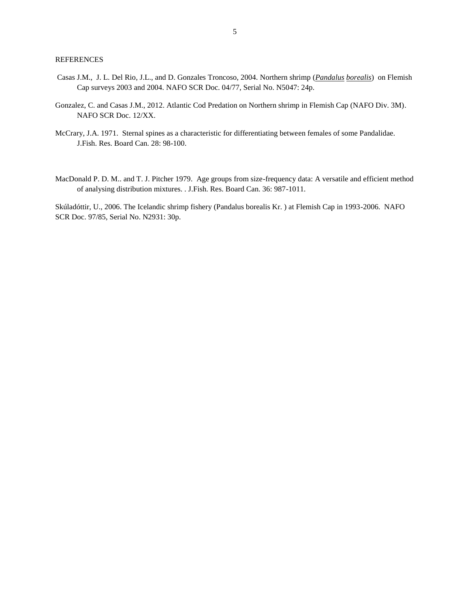## **REFERENCES**

- Casas J.M., J. L. Del Rio, J.L., and D. Gonzales Troncoso, 2004. Northern shrimp (*Pandalus borealis*) on Flemish Cap surveys 2003 and 2004. NAFO SCR Doc. 04/77, Serial No. N5047: 24p.
- Gonzalez, C. and Casas J.M., 2012. Atlantic Cod Predation on Northern shrimp in Flemish Cap (NAFO Div. 3M). NAFO SCR Doc. 12/XX.
- McCrary, J.A. 1971. Sternal spines as a characteristic for differentiating between females of some Pandalidae. J.Fish. Res. Board Can. 28: 98-100.
- MacDonald P. D. M.. and T. J. Pitcher 1979. Age groups from size-frequency data: A versatile and efficient method of analysing distribution mixtures. . J.Fish. Res. Board Can. 36: 987-1011.

Skúladóttir, U., 2006. The Icelandic shrimp fishery (Pandalus borealis Kr. ) at Flemish Cap in 1993-2006. NAFO SCR Doc. 97/85, Serial No. N2931: 30p.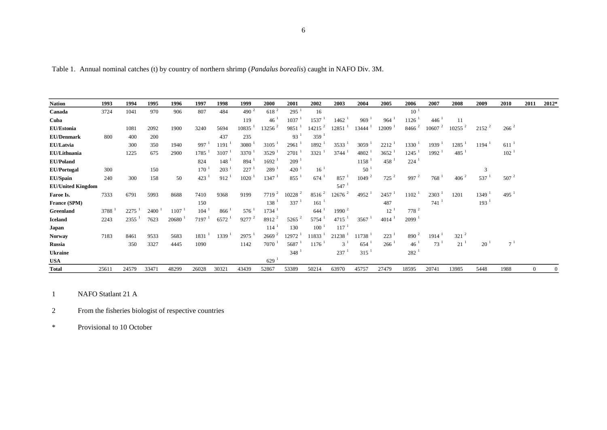Table 1. Annual nominal catches (t) by country of northern shrimp (*Pandalus borealis*) caught in NAFO Div. 3M.

| <b>Nation</b>            | 1993  | 1994  | 1995  | 1996  | 1997  | 1998  | 1999                 | <b>2000</b>       | 2001                 | 2002                  | 2003             | 2004              | 2005                | 2006                | 2007     | 2008           | 2009             | 2010                | 2011     | 2012*        |
|--------------------------|-------|-------|-------|-------|-------|-------|----------------------|-------------------|----------------------|-----------------------|------------------|-------------------|---------------------|---------------------|----------|----------------|------------------|---------------------|----------|--------------|
| Canada                   | 3724  | 1041  | 970   | 906   | 807   | 484   | 490 $^{2}$           | 618 <sup>2</sup>  | $295^{\frac{1}{2}}$  | 16                    |                  |                   |                     | $10^{-1}$           |          |                |                  |                     |          |              |
| Cuba                     |       |       |       |       |       |       | 119                  | 46                | 1037                 | 1537                  | 1462             | 969               | 964                 | 1126                | 446      | 11             |                  |                     |          |              |
| EU/Estonia               |       | 1081  | 2092  | 1900  | 3240  | 5694  | 10835                | $13256^2$         | 9851                 | $14215^2$             | 12851            | 13444             | 12009               | 8466 <sup>2</sup>   | 10607    | $10255$ $^{2}$ | $2152^2$         | $266^{2}$           |          |              |
| <b>EU/Denmark</b>        | 800   | 400   | 200   |       |       | 437   | 235                  |                   | 93 <sup>1</sup>      | 359 <sup>1</sup>      |                  |                   |                     |                     |          |                |                  |                     |          |              |
| EU/Latvia                |       | 300   | 350   | 1940  | 997   | 1191  | 3080                 | 3105              | 2961                 | $1892-1$              | 3533             | 3059              | 2212                | $1330$ <sup>1</sup> | 1939     | 1285           | 1194             | $611^{-1}$          |          |              |
| EU/Lithuania             |       | 1225  | 675   | 2900  | 1785  | 3107  | $3370^{\frac{1}{2}}$ | 3529              | 2701                 | 3321                  | 3744             | 4802              | $3652$ <sup>1</sup> | $1245$ <sup>1</sup> | $1992-1$ | 485            |                  | 102 <sup>1</sup>    |          |              |
| <b>EU/Poland</b>         |       |       |       |       | 824   | 148   | 894                  | 1692              | 209                  |                       |                  | 1158              | 458                 | 224                 |          |                |                  |                     |          |              |
| <b>EU/Portugal</b>       | 300   |       | 150   |       | 170   | 203   | 227                  | 289               | 420                  | $16^{-1}$             |                  | 50                |                     |                     |          |                |                  |                     |          |              |
| <b>EU/Spain</b>          | 240   | 300   | 158   | 50    | 423   | 912   | 1020                 | 1347              | 855                  | 674                   | 857              | 1049 <sup>2</sup> | $725^2$             | 997 $^2$            | 768      | $406^{2}$      | 537              | $507$ $^{2}$        |          |              |
| <b>EU/United Kingdom</b> |       |       |       |       |       |       |                      |                   |                      |                       | 547              |                   |                     |                     |          |                |                  |                     |          |              |
| Faroe Is.                | 7333  | 6791  | 5993  | 8688  | 7410  | 9368  | 9199                 | $7719^2$          | $10228$ <sup>2</sup> | $8516^{2}$            | $12676^2$        | 4952              | 2457                | 1102                | 2303     | 1201           | 1349             | $495^{\frac{1}{2}}$ |          |              |
| France (SPM)             |       |       |       |       | 150   |       |                      | 138               | 337                  | 161                   |                  |                   | 487                 |                     | 741      |                | 193 <sup>1</sup> |                     |          |              |
| Greenland                | 3788  | 2275  | 2400  | 1107  | 104   | 866   | $576^{\frac{1}{2}}$  | 1734              |                      | 644                   | $1990^2$         |                   | 12                  | $778^2$             |          |                |                  |                     |          |              |
| <b>Iceland</b>           | 2243  | 2355  | 7623  | 20680 | 7197  | 6572  | $9277$ <sup>2</sup>  | 8912              | $5265^2$             | 5754                  | 4715             | 3567              | 4014                | 2099 <sup>1</sup>   |          |                |                  |                     |          |              |
| Japan                    |       |       |       |       |       |       |                      | 114               | 130                  | $100-1$               | $117^{-1}$       |                   |                     |                     |          |                |                  |                     |          |              |
| <b>Norway</b>            | 7183  | 8461  | 9533  | 5683  | 1831  | 1339  | 2975                 | 2669 <sup>2</sup> | 12972                | $11833^{\frac{1}{2}}$ | 21238            | 11738             | 223                 | 890 $^2$            | 1914     | $321^{2}$      |                  |                     |          |              |
| <b>Russia</b>            |       | 350   | 3327  | 4445  | 1090  |       | 1142                 | 7070              | 5687                 | 1176                  | $3^{\mathrm{T}}$ | 654               | 266                 | 46 <sup>1</sup>     | 73       | 21             | 20               | $7^1$               |          |              |
| <b>Ukraine</b>           |       |       |       |       |       |       |                      |                   | 348                  |                       | 237              | 315               |                     | 282 <sup>1</sup>    |          |                |                  |                     |          |              |
| <b>USA</b>               |       |       |       |       |       |       |                      | 629               |                      |                       |                  |                   |                     |                     |          |                |                  |                     |          |              |
| Total                    | 25611 | 24579 | 33471 | 48299 | 26028 | 30321 | 43439                | 52867             | 53389                | 50214                 | 63970            | 45757             | 27479               | 18595               | 20741    | 13985          | 5448             | 1988                | $\Omega$ | $\mathbf{0}$ |

1 NAFO Statlant 21 A

2 From the fisheries biologist of respective countries

\* Provisional to 10 October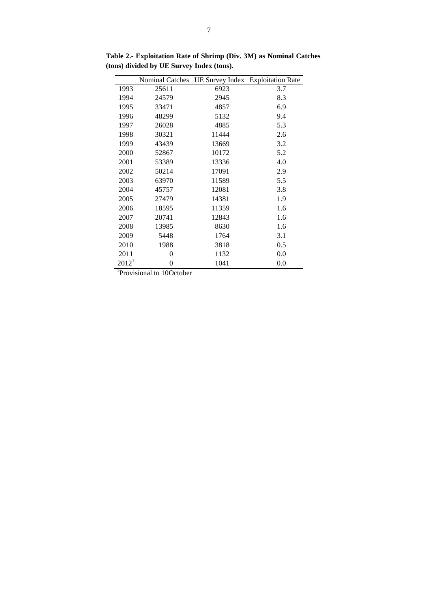|          |          | Nominal Catches UE Survey Index Exploitation Rate |     |
|----------|----------|---------------------------------------------------|-----|
| 1993     | 25611    | 6923                                              | 3.7 |
| 1994     | 24579    | 2945                                              | 8.3 |
| 1995     | 33471    | 4857                                              | 6.9 |
| 1996     | 48299    | 5132                                              | 9.4 |
| 1997     | 26028    | 4885                                              | 5.3 |
| 1998     | 30321    | 11444                                             | 2.6 |
| 1999     | 43439    | 13669                                             | 3.2 |
| 2000     | 52867    | 10172                                             | 5.2 |
| 2001     | 53389    | 13336                                             | 4.0 |
| 2002     | 50214    | 17091                                             | 2.9 |
| 2003     | 63970    | 11589                                             | 5.5 |
| 2004     | 45757    | 12081                                             | 3.8 |
| 2005     | 27479    | 14381                                             | 1.9 |
| 2006     | 18595    | 11359                                             | 1.6 |
| 2007     | 20741    | 12843                                             | 1.6 |
| 2008     | 13985    | 8630                                              | 1.6 |
| 2009     | 5448     | 1764                                              | 3.1 |
| 2010     | 1988     | 3818                                              | 0.5 |
| 2011     | $\theta$ | 1132                                              | 0.0 |
| $2012^1$ | 0        | 1041                                              | 0.0 |

**Table 2.- Exploitation Rate of Shrimp (Div. 3M) as Nominal Catches (tons) divided by UE Survey Index (tons).** 

<sup>1</sup>Provisional to 10October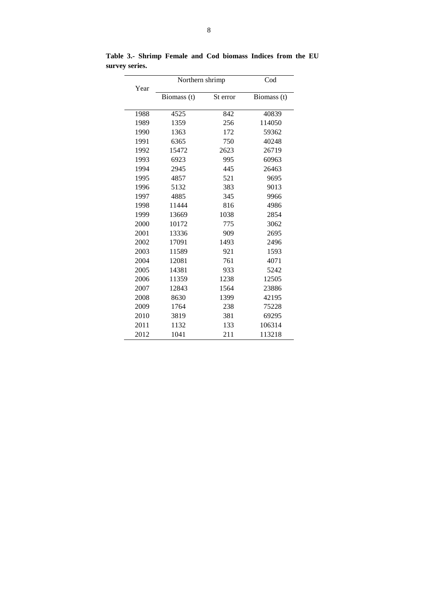| Year | Northern shrimp |          | Cod         |  |  |  |  |  |
|------|-----------------|----------|-------------|--|--|--|--|--|
|      | Biomass (t)     | St error | Biomass (t) |  |  |  |  |  |
| 1988 | 4525            | 842      | 40839       |  |  |  |  |  |
| 1989 | 1359            | 256      | 114050      |  |  |  |  |  |
| 1990 | 1363            | 172      | 59362       |  |  |  |  |  |
| 1991 | 6365            | 750      | 40248       |  |  |  |  |  |
| 1992 | 15472           | 2623     | 26719       |  |  |  |  |  |
| 1993 | 6923            | 995      | 60963       |  |  |  |  |  |
| 1994 | 2945            | 445      | 26463       |  |  |  |  |  |
| 1995 | 4857            | 521      | 9695        |  |  |  |  |  |
| 1996 | 5132            | 383      | 9013        |  |  |  |  |  |
| 1997 | 4885            | 345      | 9966        |  |  |  |  |  |
| 1998 | 11444           | 816      | 4986        |  |  |  |  |  |
| 1999 | 13669           | 1038     | 2854        |  |  |  |  |  |
| 2000 | 10172           | 775      | 3062        |  |  |  |  |  |
| 2001 | 13336           | 909      | 2695        |  |  |  |  |  |
| 2002 | 17091           | 1493     | 2496        |  |  |  |  |  |
| 2003 | 11589           | 921      | 1593        |  |  |  |  |  |
| 2004 | 12081           | 761      | 4071        |  |  |  |  |  |
| 2005 | 14381           | 933      | 5242        |  |  |  |  |  |
| 2006 | 11359           | 1238     | 12505       |  |  |  |  |  |
| 2007 | 12843           | 1564     | 23886       |  |  |  |  |  |
| 2008 | 8630            | 1399     | 42195       |  |  |  |  |  |
| 2009 | 1764            | 238      | 75228       |  |  |  |  |  |
| 2010 | 3819            | 381      | 69295       |  |  |  |  |  |
| 2011 | 1132            | 133      | 106314      |  |  |  |  |  |
| 2012 | 1041            | 211      | 113218      |  |  |  |  |  |

**Table 3.- Shrimp Female and Cod biomass Indices from the EU survey series.**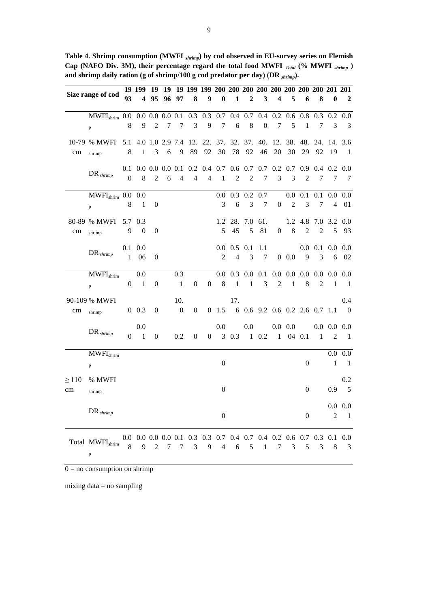| Table 4. Shrimp consumption (MWFI shrimp) by cod observed in EU-survey series on Flemish         |
|--------------------------------------------------------------------------------------------------|
| Cap (NAFO Div. 3M), their percentage regard the total food MWFI $_{Total}$ (% MWFI $_{shrimp}$ ) |
| and shrimp daily ration (g of shrimp/100 g cod predator per day) (DR $_{\text{shrimp}}$ ).       |

|            | Size range of cod                                             | 93               |                          | 4 95 96 97       |   |                  | 8                   | $\boldsymbol{9}$ | $\bf{0}$         | $\blacksquare$      | $\boldsymbol{2}$ | $\mathbf{3}$     | $\overline{\mathbf{4}}$                                             | 5              | 6                | 8                                       | $\bf{0}$        | $\overline{\mathbf{2}}$                                     |
|------------|---------------------------------------------------------------|------------------|--------------------------|------------------|---|------------------|---------------------|------------------|------------------|---------------------|------------------|------------------|---------------------------------------------------------------------|----------------|------------------|-----------------------------------------|-----------------|-------------------------------------------------------------|
|            |                                                               |                  |                          |                  |   |                  |                     |                  |                  |                     |                  |                  |                                                                     |                |                  |                                         |                 |                                                             |
|            | MWFI <sub>shrim</sub> 0.0 0.0 0.0 0.0 0.1 0.3 0.3 0.7 0.4 0.7 |                  |                          |                  |   |                  |                     |                  |                  |                     |                  | $0.4\,$          |                                                                     |                |                  | $0.2$ 0.6 0.8 0.3                       |                 | $0.2 \ 0.0$                                                 |
|            | p                                                             | 8                | 9                        | $\overline{2}$   | 7 | 7                | 3                   | 9                | $\tau$           | 6                   | $\,8\,$          | $\boldsymbol{0}$ | $\tau$                                                              | 5              | $\mathbf{1}$     | 7                                       | 3               | 3                                                           |
|            | 10-79 % MWFI 5.1 4.0 1.0 2.9 7.4                              |                  |                          |                  |   |                  |                     |                  |                  |                     |                  |                  | 12. 22. 37. 32. 37. 40. 12. 38. 48. 24. 14. 3.6                     |                |                  |                                         |                 |                                                             |
| cm         | shrimp                                                        | 8                | $\mathbf{1}$             | 3                | 6 | 9                | 89                  | 92               | 30               | 78                  | 92               | 46               | 20                                                                  | 30             | 29               | 92                                      | -19             | $\blacksquare$                                              |
|            |                                                               |                  |                          |                  |   |                  |                     |                  |                  |                     |                  |                  |                                                                     |                |                  |                                         |                 |                                                             |
|            | $DR$ <sub>shrimp</sub>                                        |                  |                          |                  |   |                  |                     |                  |                  |                     |                  |                  | 0.1 0.0 0.0 0.0 0.1 0.2 0.4 0.7 0.6 0.7 0.7 0.2 0.7 0.9 0.4 0.2 0.0 |                |                  |                                         |                 |                                                             |
|            |                                                               | $\mathbf{0}$     | 8                        | $\overline{2}$   | 6 | $\overline{4}$   | $\overline{4}$      | $\overline{4}$   | $\mathbf{1}$     | $\overline{2}$      | $\overline{c}$   | 7                | 3                                                                   | 3              | $\overline{2}$   | 7                                       | 7               | $\overline{7}$                                              |
|            | $MWFI_{shrim}$ 0.0 0.0                                        |                  |                          |                  |   |                  |                     |                  | 0.0 <sub>1</sub> |                     | $0.3 \quad 0.2$  | 0.7              |                                                                     | $0.0\,$        | 0.1              | 0.1                                     |                 | $0.0\ 0.0$                                                  |
|            | p                                                             | 8                | $\blacksquare$           | $\boldsymbol{0}$ |   |                  |                     |                  | 3                | 6                   | 3                | $\tau$           | $\boldsymbol{0}$                                                    | $\overline{2}$ | 3                | 7                                       | $\overline{4}$  | 01                                                          |
|            |                                                               |                  |                          |                  |   |                  |                     |                  |                  |                     |                  |                  |                                                                     |                |                  |                                         |                 |                                                             |
|            | 80-89 % MWFI 5.7 0.3                                          | 9                | $\boldsymbol{0}$         | $\boldsymbol{0}$ |   |                  |                     |                  | 5                | 1.2 28 7.0<br>45    | 5                | 61.<br>81        | $\boldsymbol{0}$                                                    | 8              | $\overline{2}$   | $1.2$ 4.8 7.0 3.2 0.0<br>$\overline{c}$ | 5               | 93                                                          |
| cm         | shrimp                                                        |                  |                          |                  |   |                  |                     |                  |                  |                     |                  |                  |                                                                     |                |                  |                                         |                 |                                                             |
|            | $DR$ <sub>shrimp</sub>                                        |                  | $0.1 \ 0.0$              |                  |   |                  |                     |                  |                  | $0.0 \t 0.5 \t 0.1$ |                  | 1.1              |                                                                     |                |                  | $0.0 \;\; 0.1$                          |                 | $0.0\ 0.0$                                                  |
|            |                                                               | $\mathbf{1}$     | 06                       | $\theta$         |   |                  |                     |                  | 2                | $\overline{4}$      | 3                | 7                |                                                                     | 0.0            | 9                | 3                                       |                 | 6 02                                                        |
|            | $MWFI_{shrim}$                                                |                  | 0.0                      |                  |   | 0.3              |                     |                  |                  |                     |                  |                  |                                                                     |                |                  |                                         |                 | $0.0$ $0.3$ $0.0$ $0.1$ $0.0$ $0.0$ $0.0$ $0.0$ $0.0$ $0.0$ |
|            |                                                               | $\boldsymbol{0}$ | $\overline{\phantom{0}}$ | $\boldsymbol{0}$ |   | $\mathbf{1}$     | $\boldsymbol{0}$    | $\overline{0}$   | $\,8\,$          | $\blacksquare$      | $\mathbf{1}$     | $\mathfrak{Z}$   | $\overline{2}$                                                      | $\mathbf{1}$   | 8                | 2                                       | $\mathbf{1}$    | $\blacksquare$                                              |
|            | $\mathbf{p}$                                                  |                  |                          |                  |   |                  |                     |                  |                  |                     |                  |                  |                                                                     |                |                  |                                         |                 |                                                             |
|            | 90-109 % MWFI                                                 |                  |                          |                  |   | 10.              |                     |                  |                  | 17.                 |                  |                  |                                                                     |                |                  |                                         |                 | 0.4                                                         |
| cm         | shrimp                                                        |                  | $0\;\;0.3$               | $\boldsymbol{0}$ |   | $\boldsymbol{0}$ | $\boldsymbol{0}$    |                  |                  |                     |                  |                  | $0$ 1.5 6 0.6 9.2 0.6 0.2 2.6 0.7 1.1 0                             |                |                  |                                         |                 |                                                             |
|            |                                                               |                  | 0.0                      |                  |   |                  |                     |                  | 0.0              |                     | 0.0              |                  |                                                                     | $0.0\ 0.0$     |                  |                                         | $0.0\ 0.0\ 0.0$ |                                                             |
|            | $DR$ <sub>shrimp</sub>                                        |                  | $0 \quad 1$              | $\boldsymbol{0}$ |   | 0.2              | $\boldsymbol{0}$    | $\overline{0}$   |                  |                     |                  |                  | 3 0.3 1 0.2 1 04 0.1                                                |                |                  | $\blacksquare$                          | 2               | $\blacksquare$                                              |
|            |                                                               |                  |                          |                  |   |                  |                     |                  |                  |                     |                  |                  |                                                                     |                |                  |                                         |                 |                                                             |
|            | $MWFI_{shrim}$                                                |                  |                          |                  |   |                  |                     |                  |                  |                     |                  |                  |                                                                     |                |                  |                                         | $\mathbf{1}$    | $0.0\ 0.0$                                                  |
|            | p                                                             |                  |                          |                  |   |                  |                     |                  | $\boldsymbol{0}$ |                     |                  |                  |                                                                     |                | $\boldsymbol{0}$ |                                         |                 | $\blacksquare$                                              |
| $\geq$ 110 | % MWFI                                                        |                  |                          |                  |   |                  |                     |                  |                  |                     |                  |                  |                                                                     |                |                  |                                         |                 | 0.2                                                         |
| cm         | shrimp                                                        |                  |                          |                  |   |                  |                     |                  | $\mathbf{0}$     |                     |                  |                  |                                                                     |                | $\overline{0}$   |                                         | 0.9             | $5\overline{)}$                                             |
|            |                                                               |                  |                          |                  |   |                  |                     |                  |                  |                     |                  |                  |                                                                     |                |                  |                                         |                 | $0.0\ 0.0$                                                  |
|            | $DR$ <sub>shrimp</sub>                                        |                  |                          |                  |   |                  |                     |                  | $\boldsymbol{0}$ |                     |                  |                  |                                                                     |                | $\boldsymbol{0}$ |                                         | 2               | - 1                                                         |
|            |                                                               |                  |                          |                  |   |                  |                     |                  |                  |                     |                  |                  |                                                                     |                |                  |                                         |                 |                                                             |
|            |                                                               |                  |                          |                  |   |                  |                     |                  |                  |                     |                  |                  | 0.0 0.0 0.0 0.0 0.1 0.3 0.3 0.7 0.4 0.7 0.4 0.2 0.6 0.7 0.3 0.1 0.0 |                |                  |                                         |                 |                                                             |
|            | Total MWFI <sub>shrim</sub>                                   | 8                | 9                        | $\overline{2}$   |   |                  | $7 \quad 7 \quad 3$ |                  | $9 \quad 4$      |                     | $6 \t 5 \t 1$    |                  |                                                                     | 7 3            | 5                | 3                                       | 8 <sup>8</sup>  | $\overline{\mathbf{3}}$                                     |
|            | p                                                             |                  |                          |                  |   |                  |                     |                  |                  |                     |                  |                  |                                                                     |                |                  |                                         |                 |                                                             |

 $0 = no$  consumption on shrimp

mixing data = no sampling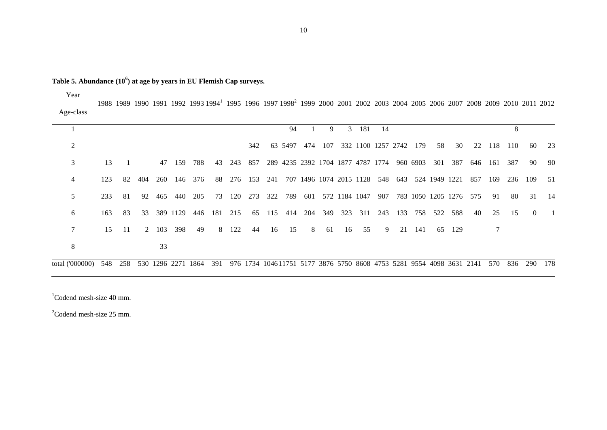**Table 5. Abundance (10<sup>6</sup> ) at age by years in EU Flemish Cap surveys.**

| Year            |     |      |     |       |          | 1988 1989 1990 1991 1992 1993 1994 1995 1996 1997 1998 1999 2000 2001 2002 2003 2004 2005 2006 2007 2008 2009 2010 2011 2012 |     |     |         |     |         |     |     |               |       |                                                                      |     |     |                        |        |     |     |     |          |     |
|-----------------|-----|------|-----|-------|----------|------------------------------------------------------------------------------------------------------------------------------|-----|-----|---------|-----|---------|-----|-----|---------------|-------|----------------------------------------------------------------------|-----|-----|------------------------|--------|-----|-----|-----|----------|-----|
| Age-class       |     |      |     |       |          |                                                                                                                              |     |     |         |     |         |     |     |               |       |                                                                      |     |     |                        |        |     |     |     |          |     |
|                 |     |      |     |       |          |                                                                                                                              |     |     |         |     | 94      |     | 9   |               | 3 181 | 14                                                                   |     |     |                        |        |     |     | 8   |          |     |
| $\overline{2}$  |     |      |     |       |          |                                                                                                                              |     |     | 342     |     | 63 5497 | 474 | 107 |               |       | 332 1100 1257 2742                                                   |     | 179 | 58                     | 30     | 22  | 118 | 110 | 60       | 23  |
| 3               | 13  |      |     | 47    | 159      | 788                                                                                                                          | 43  | 243 | 857     |     |         |     |     |               |       | 289 4235 2392 1704 1877 4787 1774 960 6903                           |     |     | 301                    | 387    | 646 | 161 | 387 | 90       | 90  |
| 4               | 123 | 82   | 404 | 260   | 146      | 376                                                                                                                          | 88  |     | 276 153 | 241 |         |     |     |               |       | 707 1496 1074 2015 1128 548 643 524 1949 1221                        |     |     |                        |        | 857 | 169 | 236 | 109      | 51  |
| 5               | 233 | -81  | 92  | 465   | 440      | 205                                                                                                                          | 73  |     | 120 273 | 322 | 789     | 601 |     | 572 1184 1047 |       | 907                                                                  |     |     | 783 1050 1205 1276 575 |        |     | 91  | 80  | 31       | 14  |
| 6               | 163 | 83   | 33  |       | 389 1129 | 446                                                                                                                          | 181 | 215 | 65      | 115 | 414     | 204 | 349 | 323           | 311   | 243                                                                  | 133 | 758 | 522                    | 588    | 40  | 25  | 15  | $\Omega$ | -1  |
| 7               | 15  | - 11 |     | 2 103 | 398      | 49                                                                                                                           | 8   | 122 | 44      | 16  | 15      | 8   | 61  | 16            | 55    | 9                                                                    | 21  | 141 |                        | 65 129 |     | 7   |     |          |     |
| 8               |     |      |     | 33    |          |                                                                                                                              |     |     |         |     |         |     |     |               |       |                                                                      |     |     |                        |        |     |     |     |          |     |
| total ('000000) | 548 | 258  |     |       |          | 530 1296 2271 1864                                                                                                           | 391 |     |         |     |         |     |     |               |       | 976 1734 104611751 5177 3876 5750 8608 4753 5281 9554 4098 3631 2141 |     |     |                        |        |     | 570 | 836 | 290      | 178 |

Codend mesh-size 40 mm.

<sup>2</sup>Codend mesh-size 25 mm.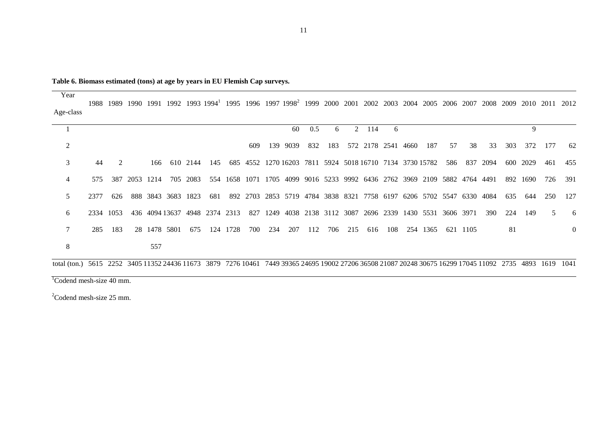| Table 6. Biomass estimated (tons) at age by years in EU Flemish Cap surveys. |  |  |
|------------------------------------------------------------------------------|--|--|
|------------------------------------------------------------------------------|--|--|

Year Age-class 1989 1990 1991 1992 1993 1994<sup>1</sup> 1995 1996 1997 1998<sup>2</sup> 1999 2000 2001 2002 2003 2004 2005 2006 2007 2008 2009 2010 2011 2012

|    |      |             |                   |     |                    |          |                |          |     |     | 60                                                                        | 0.5 | 6   | $2^{\circ}$ | 114                | 6   |          |    |          |      |     | 9    |     |          |
|----|------|-------------|-------------------|-----|--------------------|----------|----------------|----------|-----|-----|---------------------------------------------------------------------------|-----|-----|-------------|--------------------|-----|----------|----|----------|------|-----|------|-----|----------|
|    |      |             |                   |     |                    |          |                |          | 609 |     | 139 9039                                                                  | 832 | 183 |             | 572 2178 2541 4660 |     | 187      | 57 | 38       | 33   | 303 | 372  | 177 | 62       |
| 3  | 44   | $2^{\circ}$ |                   |     | 166 610 2144       |          |                |          |     |     | 145 685 4552 1270 16203 7811 5924 5018 16710 7134 3730 15782              |     |     |             |                    |     |          |    | 586 837  | 2094 | 600 | 2029 | 461 | 455      |
| 4  |      |             | 575 387 2053 1214 |     |                    | 705 2083 |                |          |     |     | 554 1658 1071 1705 4099 9016 5233 9992 6436 2762 3969 2109 5882 4764 4491 |     |     |             |                    |     |          |    |          |      | 892 | 1690 | 726 | -391     |
|    | 2377 | 626         |                   |     | 888 3843 3683 1823 |          | 681            |          |     |     | 892 2703 2853 5719 4784 3838 8321 7758 6197 6206 5702 5547 6330 4084      |     |     |             |                    |     |          |    |          |      | 635 | 644  | 250 | 127      |
| 6. |      | 2334 1053   |                   |     | 436 4094 13637     |          | 4948 2374 2313 |          |     |     | 827 1249 4038 2138 3112 3087 2696 2339 1430 5531 3606 3971                |     |     |             |                    |     |          |    |          | 390  | 224 | 149  | 5.  | -6       |
|    | 285  | 183         |                   |     | 28 1478 5801       | 675      |                | 124 1728 | 700 | 234 | 207                                                                       | 112 | 706 | 215         | 616                | 108 | 254 1365 |    | 621 1105 |      | -81 |      |     | $\Omega$ |
| 8  |      |             |                   | 557 |                    |          |                |          |     |     |                                                                           |     |     |             |                    |     |          |    |          |      |     |      |     |          |
|    |      |             |                   |     |                    |          |                |          |     |     |                                                                           |     |     |             |                    |     |          |    |          |      |     |      |     |          |

total (ton.) 5615 2252 3405 11352 24436 11673 3879 7276 10461 7449 39365 24695 19002 27206 36508 21087 20248 30675 16299 17045 11092 2735 4893 1619 1041

 $\sqrt[1]{2}$ Codend mesh-size 40 mm.

<sup>2</sup>Codend mesh-size 25 mm.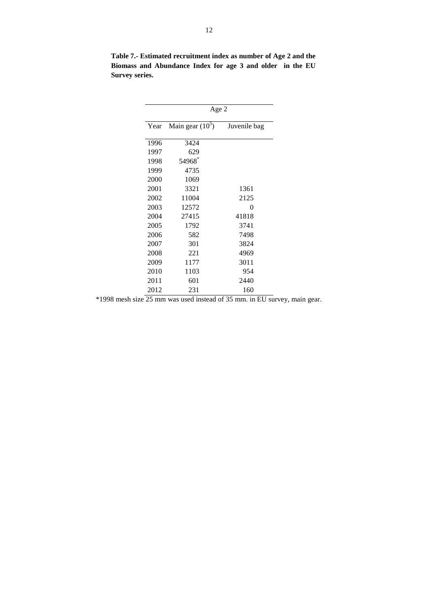|      | Age 2              |              |  |  |  |  |  |  |  |  |  |
|------|--------------------|--------------|--|--|--|--|--|--|--|--|--|
| Year | Main gear $(10^5)$ | Juvenile bag |  |  |  |  |  |  |  |  |  |
| 1996 | 3424               |              |  |  |  |  |  |  |  |  |  |
| 1997 | 629                |              |  |  |  |  |  |  |  |  |  |
| 1998 | 54968 $*$          |              |  |  |  |  |  |  |  |  |  |
| 1999 | 4735               |              |  |  |  |  |  |  |  |  |  |
| 2000 | 1069               |              |  |  |  |  |  |  |  |  |  |
| 2001 | 3321               | 1361         |  |  |  |  |  |  |  |  |  |
| 2002 | 11004              | 2125         |  |  |  |  |  |  |  |  |  |
| 2003 | 12572              | 0            |  |  |  |  |  |  |  |  |  |
| 2004 | 27415              | 41818        |  |  |  |  |  |  |  |  |  |
| 2005 | 1792               | 3741         |  |  |  |  |  |  |  |  |  |
| 2006 | 582                | 7498         |  |  |  |  |  |  |  |  |  |
| 2007 | 301                | 3824         |  |  |  |  |  |  |  |  |  |
| 2008 | 221                | 4969         |  |  |  |  |  |  |  |  |  |
| 2009 | 1177               | 3011         |  |  |  |  |  |  |  |  |  |
| 2010 | 1103               | 954          |  |  |  |  |  |  |  |  |  |
| 2011 | 601                | 2440         |  |  |  |  |  |  |  |  |  |
| 2012 | 231                | 160          |  |  |  |  |  |  |  |  |  |

**Table 7.- Estimated recruitment index as number of Age 2 and the Biomass and Abundance Index for age 3 and older in the EU Survey series.**

\*1998 mesh size 25 mm was used instead of 35 mm. in EU survey, main gear.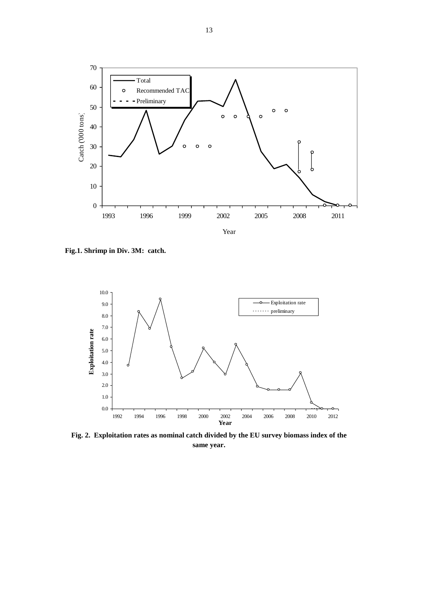

**Fig.1. Shrimp in Div. 3M: catch.**



**Fig. 2. Exploitation rates as nominal catch divided by the EU survey biomass index of the same year.**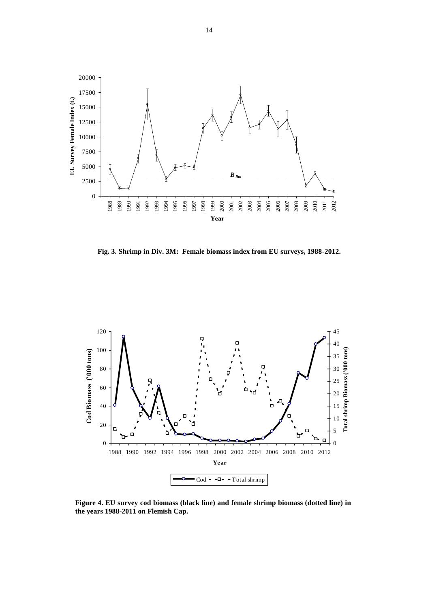

**Fig. 3. Shrimp in Div. 3M: Female biomass index from EU surveys, 1988-2012.**



**Figure 4. EU survey cod biomass (black line) and female shrimp biomass (dotted line) in the years 1988-2011 on Flemish Cap.**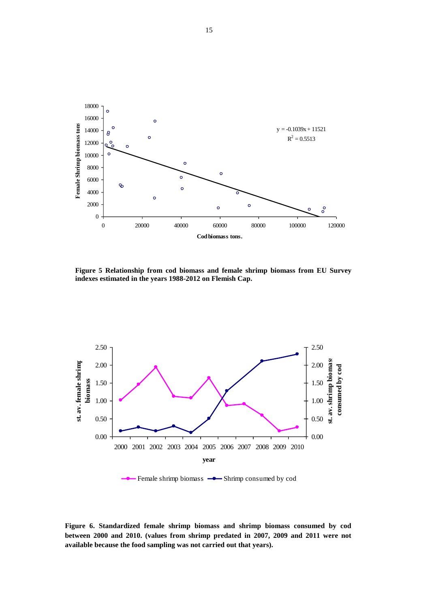

**Figure 5 Relationship from cod biomass and female shrimp biomass from EU Survey indexes estimated in the years 1988-2012 on Flemish Cap.**



- Female shrimp biomass  $\rightarrow$  Shrimp consumed by cod

**Figure 6. Standardized female shrimp biomass and shrimp biomass consumed by cod between 2000 and 2010. (values from shrimp predated in 2007, 2009 and 2011 were not available because the food sampling was not carried out that years).**